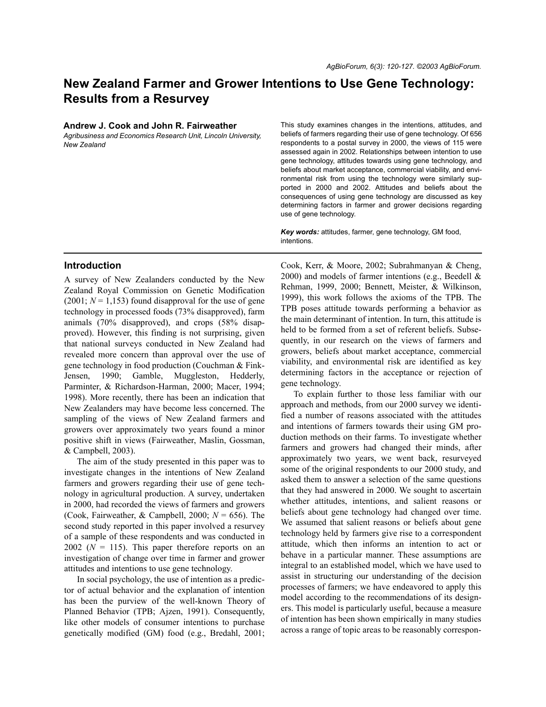# **New Zealand Farmer and Grower Intentions to Use Gene Technology: Results from a Resurvey**

| Andrew J. Cook and John R. Fairweather |  |  |  |
|----------------------------------------|--|--|--|
|----------------------------------------|--|--|--|

*Agribusiness and Economics Research Unit, Lincoln University, New Zealand*

#### This study examines changes in the intentions, attitudes, and beliefs of farmers regarding their use of gene technology. Of 656 respondents to a postal survey in 2000, the views of 115 were assessed again in 2002. Relationships between intention to use gene technology, attitudes towards using gene technology, and beliefs about market acceptance, commercial viability, and environmental risk from using the technology were similarly supported in 2000 and 2002. Attitudes and beliefs about the consequences of using gene technology are discussed as key determining factors in farmer and grower decisions regarding use of gene technology.

*Key words:* attitudes, farmer, gene technology, GM food, **intentions** 

## **Introduction**

A survey of New Zealanders conducted by the New Zealand Royal Commission on Genetic Modification  $(2001; N = 1,153)$  found disapproval for the use of gene technology in processed foods (73% disapproved), farm animals (70% disapproved), and crops (58% disapproved). However, this finding is not surprising, given that national surveys conducted in New Zealand had revealed more concern than approval over the use of gene technology in food production (Couchman & Fink-Jensen, 1990; Gamble, Muggleston, Hedderly, Parminter, & Richardson-Harman, 2000; Macer, 1994; 1998). More recently, there has been an indication that New Zealanders may have become less concerned. The sampling of the views of New Zealand farmers and growers over approximately two years found a minor positive shift in views (Fairweather, Maslin, Gossman, & Campbell, 2003).

The aim of the study presented in this paper was to investigate changes in the intentions of New Zealand farmers and growers regarding their use of gene technology in agricultural production. A survey, undertaken in 2000, had recorded the views of farmers and growers (Cook, Fairweather, & Campbell, 2000; *N* = 656). The second study reported in this paper involved a resurvey of a sample of these respondents and was conducted in 2002 ( $N = 115$ ). This paper therefore reports on an investigation of change over time in farmer and grower attitudes and intentions to use gene technology.

In social psychology, the use of intention as a predictor of actual behavior and the explanation of intention has been the purview of the well-known Theory of Planned Behavior (TPB; Ajzen, 1991). Consequently, like other models of consumer intentions to purchase genetically modified (GM) food (e.g., Bredahl, 2001;

Cook, Kerr, & Moore, 2002; Subrahmanyan & Cheng, 2000) and models of farmer intentions (e.g., Beedell & Rehman, 1999, 2000; Bennett, Meister, & Wilkinson, 1999), this work follows the axioms of the TPB. The TPB poses attitude towards performing a behavior as the main determinant of intention. In turn, this attitude is held to be formed from a set of referent beliefs. Subsequently, in our research on the views of farmers and growers, beliefs about market acceptance, commercial viability, and environmental risk are identified as key determining factors in the acceptance or rejection of gene technology.

To explain further to those less familiar with our approach and methods, from our 2000 survey we identified a number of reasons associated with the attitudes and intentions of farmers towards their using GM production methods on their farms. To investigate whether farmers and growers had changed their minds, after approximately two years, we went back, resurveyed some of the original respondents to our 2000 study, and asked them to answer a selection of the same questions that they had answered in 2000. We sought to ascertain whether attitudes, intentions, and salient reasons or beliefs about gene technology had changed over time. We assumed that salient reasons or beliefs about gene technology held by farmers give rise to a correspondent attitude, which then informs an intention to act or behave in a particular manner. These assumptions are integral to an established model, which we have used to assist in structuring our understanding of the decision processes of farmers; we have endeavored to apply this model according to the recommendations of its designers. This model is particularly useful, because a measure of intention has been shown empirically in many studies across a range of topic areas to be reasonably correspon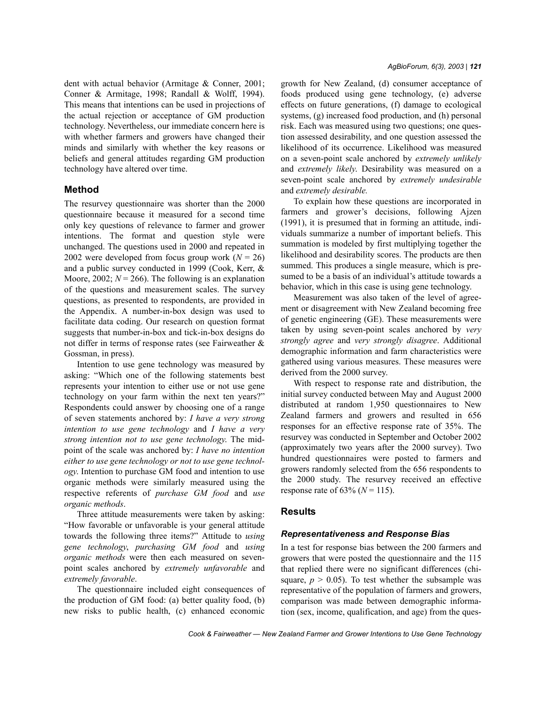dent with actual behavior (Armitage & Conner, 2001; Conner & Armitage, 1998; Randall & Wolff, 1994). This means that intentions can be used in projections of the actual rejection or acceptance of GM production technology. Nevertheless, our immediate concern here is with whether farmers and growers have changed their minds and similarly with whether the key reasons or beliefs and general attitudes regarding GM production technology have altered over time.

## **Method**

The resurvey questionnaire was shorter than the 2000 questionnaire because it measured for a second time only key questions of relevance to farmer and grower intentions. The format and question style were unchanged. The questions used in 2000 and repeated in 2002 were developed from focus group work  $(N = 26)$ and a public survey conducted in 1999 (Cook, Kerr, & Moore, 2002;  $N = 266$ ). The following is an explanation of the questions and measurement scales. The survey questions, as presented to respondents, are provided in the Appendix. A number-in-box design was used to facilitate data coding. Our research on question format suggests that number-in-box and tick-in-box designs do not differ in terms of response rates (see Fairweather & Gossman, in press).

Intention to use gene technology was measured by asking: "Which one of the following statements best represents your intention to either use or not use gene technology on your farm within the next ten years?" Respondents could answer by choosing one of a range of seven statements anchored by: *I have a very strong intention to use gene technology* and *I have a very strong intention not to use gene technology*. The midpoint of the scale was anchored by: *I have no intention either to use gene technology or not to use gene technology*. Intention to purchase GM food and intention to use organic methods were similarly measured using the respective referents of *purchase GM food* and *use organic methods*.

Three attitude measurements were taken by asking: ìHow favorable or unfavorable is your general attitude towards the following three items?" Attitude to *using gene technology*, *purchasing GM food* and *using organic methods* were then each measured on sevenpoint scales anchored by *extremely unfavorable* and *extremely favorable*.

The questionnaire included eight consequences of the production of GM food: (a) better quality food, (b) new risks to public health, (c) enhanced economic

growth for New Zealand, (d) consumer acceptance of foods produced using gene technology, (e) adverse effects on future generations, (f) damage to ecological systems, (g) increased food production, and (h) personal risk. Each was measured using two questions; one question assessed desirability, and one question assessed the likelihood of its occurrence. Likelihood was measured on a seven-point scale anchored by *extremely unlikely* and *extremely likely*. Desirability was measured on a seven-point scale anchored by *extremely undesirable* and *extremely desirable.*

To explain how these questions are incorporated in farmers and grower's decisions, following Ajzen (1991), it is presumed that in forming an attitude, individuals summarize a number of important beliefs. This summation is modeled by first multiplying together the likelihood and desirability scores. The products are then summed. This produces a single measure, which is presumed to be a basis of an individual's attitude towards a behavior, which in this case is using gene technology.

Measurement was also taken of the level of agreement or disagreement with New Zealand becoming free of genetic engineering (GE). These measurements were taken by using seven-point scales anchored by *very strongly agree* and *very strongly disagree*. Additional demographic information and farm characteristics were gathered using various measures. These measures were derived from the 2000 survey.

With respect to response rate and distribution, the initial survey conducted between May and August 2000 distributed at random 1,950 questionnaires to New Zealand farmers and growers and resulted in 656 responses for an effective response rate of 35%. The resurvey was conducted in September and October 2002 (approximately two years after the 2000 survey). Two hundred questionnaires were posted to farmers and growers randomly selected from the 656 respondents to the 2000 study. The resurvey received an effective response rate of  $63\%$  ( $N = 115$ ).

## **Results**

#### *Representativeness and Response Bias*

In a test for response bias between the 200 farmers and growers that were posted the questionnaire and the 115 that replied there were no significant differences (chisquare,  $p > 0.05$ ). To test whether the subsample was representative of the population of farmers and growers, comparison was made between demographic information (sex, income, qualification, and age) from the ques-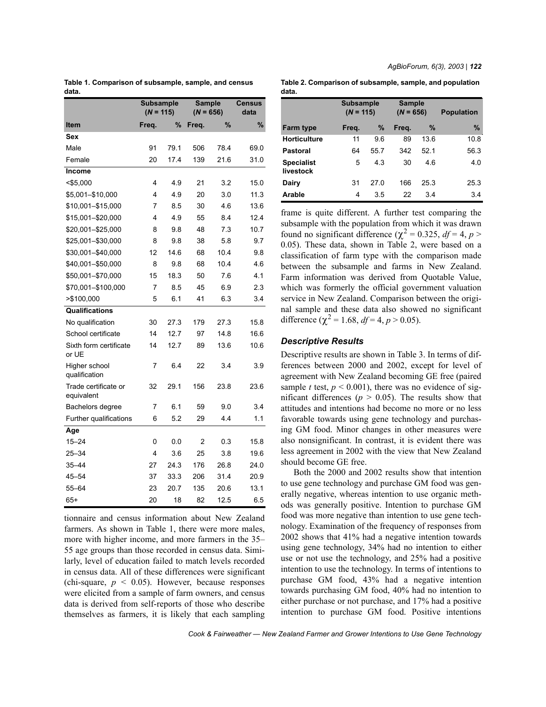|       | Table 1. Comparison of subsample, sample, and census |  |  |
|-------|------------------------------------------------------|--|--|
| data. |                                                      |  |  |

|                                    |       | Subsample<br><b>Sample</b><br>$(N = 115)$<br>$(N = 656)$ |       |      | <b>Census</b><br>data |
|------------------------------------|-------|----------------------------------------------------------|-------|------|-----------------------|
| Item                               | Freq. | %                                                        | Freq. | %    | %                     |
| Sex                                |       |                                                          |       |      |                       |
| Male                               | 91    | 79.1                                                     | 506   | 78.4 | 69.0                  |
| Female                             | 20    | 17.4                                                     | 139   | 21.6 | 31.0                  |
| Income                             |       |                                                          |       |      |                       |
| $<$ \$5,000                        | 4     | 4.9                                                      | 21    | 3.2  | 15.0                  |
| \$5,001-\$10,000                   | 4     | 4.9                                                      | 20    | 3.0  | 11.3                  |
| \$10,001-\$15,000                  | 7     | 8.5                                                      | 30    | 4.6  | 13.6                  |
| \$15,001-\$20,000                  | 4     | 4.9                                                      | 55    | 8.4  | 12.4                  |
| \$20,001-\$25,000                  | 8     | 9.8                                                      | 48    | 7.3  | 10.7                  |
| \$25,001-\$30,000                  | 8     | 9.8                                                      | 38    | 5.8  | 9.7                   |
| \$30,001-\$40,000                  | 12    | 14.6                                                     | 68    | 10.4 | 9.8                   |
| \$40,001-\$50,000                  | 8     | 9.8                                                      | 68    | 10.4 | 4.6                   |
| \$50,001-\$70,000                  | 15    | 18.3                                                     | 50    | 7.6  | 4.1                   |
| \$70,001-\$100,000                 | 7     | 8.5                                                      | 45    | 6.9  | 2.3                   |
| >\$100,000                         | 5     | 6.1                                                      | 41    | 6.3  | 3.4                   |
| Qualifications                     |       |                                                          |       |      |                       |
| No qualification                   | 30    | 27.3                                                     | 179   | 27.3 | 15.8                  |
| School certificate                 | 14    | 12.7                                                     | 97    | 14.8 | 16.6                  |
| Sixth form certificate<br>or UE    | 14    | 12.7                                                     | 89    | 13.6 | 10.6                  |
| Higher school<br>qualification     | 7     | 6.4                                                      | 22    | 3.4  | 3.9                   |
| Trade certificate or<br>equivalent | 32    | 29.1                                                     | 156   | 23.8 | 23.6                  |
| Bachelors degree                   | 7     | 6.1                                                      | 59    | 9.0  | 3.4                   |
| Further qualifications             | 6     | 5.2                                                      | 29    | 4.4  | 1.1                   |
| Age                                |       |                                                          |       |      |                       |
| $15 - 24$                          | 0     | 0.0                                                      | 2     | 0.3  | 15.8                  |
| 25-34                              | 4     | 3.6                                                      | 25    | 3.8  | 19.6                  |
| $35 - 44$                          | 27    | 24.3                                                     | 176   | 26.8 | 24.0                  |
| $45 - 54$                          | 37    | 33.3                                                     | 206   | 31.4 | 20.9                  |
| $55 - 64$                          | 23    | 20.7                                                     | 135   | 20.6 | 13.1                  |
| 65+                                | 20    | 18                                                       | 82    | 12.5 | 6.5                   |

tionnaire and census information about New Zealand farmers. As shown in Table 1, there were more males, more with higher income, and more farmers in the 35– 55 age groups than those recorded in census data. Similarly, level of education failed to match levels recorded in census data. All of these differences were significant (chi-square,  $p \leq 0.05$ ). However, because responses were elicited from a sample of farm owners, and census data is derived from self-reports of those who describe themselves as farmers, it is likely that each sampling *AgBioForum, 6(3), 2003 | 122*

**Table 2. Comparison of subsample, sample, and population data.**

|                                | Subsample<br>$(N = 115)$ |      | <b>Sample</b><br>$(N = 656)$ |      | <b>Population</b> |
|--------------------------------|--------------------------|------|------------------------------|------|-------------------|
| <b>Farm type</b>               | Freq.                    | $\%$ | Frea.                        | $\%$ | $\%$              |
| <b>Horticulture</b>            | 11                       | 9.6  | 89                           | 13.6 | 10.8              |
| Pastoral                       | 64                       | 55.7 | 342                          | 52.1 | 56.3              |
| <b>Specialist</b><br>livestock | 5                        | 4.3  | 30                           | 46   | 4.0               |
| Dairy                          | 31                       | 27.0 | 166                          | 25.3 | 25.3              |
| Arable                         | 4                        | 3.5  | 22                           | 3.4  | 3.4               |

frame is quite different. A further test comparing the subsample with the population from which it was drawn found no significant difference ( $χ² = 0.325$ ,  $df = 4$ ,  $p >$ 0.05). These data, shown in Table 2, were based on a classification of farm type with the comparison made between the subsample and farms in New Zealand. Farm information was derived from Quotable Value, which was formerly the official government valuation service in New Zealand. Comparison between the original sample and these data also showed no significant difference ( $\chi^2$  = 1.68,  $df$  = 4,  $p$  > 0.05).

### *Descriptive Results*

Descriptive results are shown in Table 3. In terms of differences between 2000 and 2002, except for level of agreement with New Zealand becoming GE free (paired sample *t* test,  $p < 0.001$ ), there was no evidence of significant differences ( $p > 0.05$ ). The results show that attitudes and intentions had become no more or no less favorable towards using gene technology and purchasing GM food. Minor changes in other measures were also nonsignificant. In contrast, it is evident there was less agreement in 2002 with the view that New Zealand should become GE free.

Both the 2000 and 2002 results show that intention to use gene technology and purchase GM food was generally negative, whereas intention to use organic methods was generally positive. Intention to purchase GM food was more negative than intention to use gene technology. Examination of the frequency of responses from 2002 shows that 41% had a negative intention towards using gene technology, 34% had no intention to either use or not use the technology, and 25% had a positive intention to use the technology. In terms of intentions to purchase GM food, 43% had a negative intention towards purchasing GM food, 40% had no intention to either purchase or not purchase, and 17% had a positive intention to purchase GM food. Positive intentions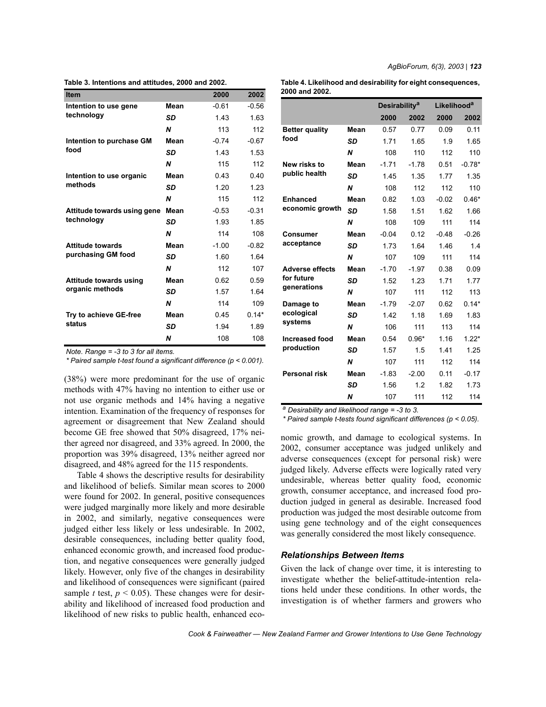**Table 3. Intentions and attitudes, 2000 and 2002.**

| <b>Item</b>                 |           | 2000    | 2002    |
|-----------------------------|-----------|---------|---------|
| Intention to use gene       | Mean      | $-0.61$ | $-0.56$ |
| technology                  | SD        | 1.43    | 1.63    |
|                             | N         | 113     | 112     |
| Intention to purchase GM    | Mean      | $-0.74$ | $-0.67$ |
| food                        | SD        | 1.43    | 1.53    |
|                             | N         | 115     | 112     |
| Intention to use organic    | Mean      | 0.43    | 0.40    |
| methods                     | SD        | 1.20    | 1.23    |
|                             | N         | 115     | 112     |
| Attitude towards using gene | Mean      | $-0.53$ | $-0.31$ |
| technology                  | <b>SD</b> | 1.93    | 1.85    |
|                             | N         | 114     | 108     |
| <b>Attitude towards</b>     | Mean      | $-1.00$ | $-0.82$ |
| purchasing GM food          | <b>SD</b> | 1.60    | 1.64    |
|                             | N         | 112     | 107     |
| Attitude towards using      | Mean      | 0.62    | 0.59    |
| organic methods             | <b>SD</b> | 1.57    | 1.64    |
|                             | N         | 114     | 109     |
| Try to achieve GE-free      | Mean      | 0.45    | $0.14*$ |
| status                      | SD        | 1.94    | 1.89    |
|                             | N         | 108     | 108     |

*Note. Range = -3 to 3 for all items.*

*\* Paired sample t-test found a significant difference (p < 0.001).*

(38%) were more predominant for the use of organic methods with 47% having no intention to either use or not use organic methods and 14% having a negative intention. Examination of the frequency of responses for agreement or disagreement that New Zealand should become GE free showed that 50% disagreed, 17% neither agreed nor disagreed, and 33% agreed. In 2000, the proportion was 39% disagreed, 13% neither agreed nor disagreed, and 48% agreed for the 115 respondents.

Table 4 shows the descriptive results for desirability and likelihood of beliefs. Similar mean scores to 2000 were found for 2002. In general, positive consequences were judged marginally more likely and more desirable in 2002, and similarly, negative consequences were judged either less likely or less undesirable. In 2002, desirable consequences, including better quality food, enhanced economic growth, and increased food production, and negative consequences were generally judged likely. However, only five of the changes in desirability and likelihood of consequences were significant (paired sample *t* test,  $p < 0.05$ ). These changes were for desirability and likelihood of increased food production and likelihood of new risks to public health, enhanced eco**Table 4. Likelihood and desirability for eight consequences, 2000 and 2002.**

|                                                     |           |         | <b>Desirability<sup>a</sup></b> |         | <b>Likelihood<sup>a</sup></b> |
|-----------------------------------------------------|-----------|---------|---------------------------------|---------|-------------------------------|
|                                                     |           | 2000    | 2002                            | 2000    | 2002                          |
| <b>Better quality</b><br>food                       | Mean      | 0.57    | 0.77                            | 0.09    | 0.11                          |
|                                                     | <b>SD</b> | 1.71    | 1.65                            | 1.9     | 1.65                          |
|                                                     | N         | 108     | 110                             | 112     | 110                           |
| New risks to                                        | Mean      | $-1.71$ | $-1.78$                         | 0.51    | $-0.78*$                      |
| public health                                       | SD        | 1.45    | 1.35                            | 1.77    | 1.35                          |
|                                                     | N         | 108     | 112                             | 112     | 110                           |
| <b>Enhanced</b>                                     | Mean      | 0.82    | 1.03                            | $-0.02$ | $0.46*$                       |
| economic growth                                     | SD        | 1.58    | 1.51                            | 1.62    | 1.66                          |
|                                                     | N         | 108     | 109                             | 111     | 114                           |
| Consumer                                            | Mean      | $-0.04$ | 0.12                            | $-0.48$ | $-0.26$                       |
| acceptance                                          | <b>SD</b> | 1.73    | 1.64                            | 1.46    | 1.4                           |
|                                                     | N         | 107     | 109                             | 111     | 114                           |
| <b>Adverse effects</b><br>for future<br>generations | Mean      | $-1.70$ | $-1.97$                         | 0.38    | 0.09                          |
|                                                     | SD        | 1.52    | 1.23                            | 1.71    | 1.77                          |
|                                                     | N         | 107     | 111                             | 112     | 113                           |
| Damage to                                           | Mean      | $-1.79$ | $-2.07$                         | 0.62    | $0.14*$                       |
| ecological                                          | <b>SD</b> | 1.42    | 1.18                            | 1.69    | 1.83                          |
| systems                                             | N         | 106     | 111                             | 113     | 114                           |
| <b>Increased food</b>                               | Mean      | 0.54    | $0.96*$                         | 1.16    | $1.22*$                       |
| production                                          | <b>SD</b> | 1.57    | 1.5                             | 1.41    | 1.25                          |
|                                                     | N         | 107     | 111                             | 112     | 114                           |
| <b>Personal risk</b>                                | Mean      | $-1.83$ | $-2.00$                         | 0.11    | $-0.17$                       |
|                                                     | <b>SD</b> | 1.56    | 1.2                             | 1.82    | 1.73                          |
|                                                     | N         | 107     | 111                             | 112     | 114                           |

*a Desirability and likelihood range = -3 to 3.*

*\* Paired sample t-tests found significant differences (p < 0.05).*

nomic growth, and damage to ecological systems. In 2002, consumer acceptance was judged unlikely and adverse consequences (except for personal risk) were judged likely. Adverse effects were logically rated very undesirable, whereas better quality food, economic growth, consumer acceptance, and increased food production judged in general as desirable. Increased food production was judged the most desirable outcome from using gene technology and of the eight consequences was generally considered the most likely consequence.

#### *Relationships Between Items*

Given the lack of change over time, it is interesting to investigate whether the belief-attitude-intention relations held under these conditions. In other words, the investigation is of whether farmers and growers who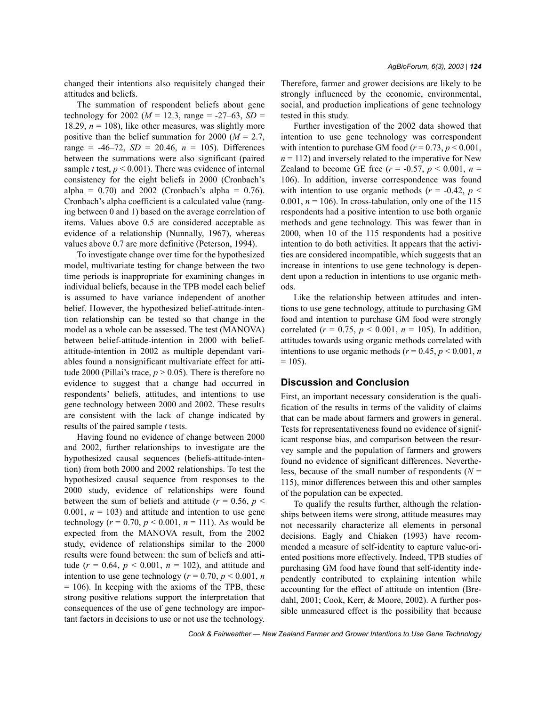changed their intentions also requisitely changed their attitudes and beliefs.

The summation of respondent beliefs about gene technology for 2002 ( $M = 12.3$ , range = -27-63, *SD* = 18.29,  $n = 108$ ), like other measures, was slightly more positive than the belief summation for 2000 (*M* = 2.7, range =  $-46-72$ , *SD* = 20.46,  $n = 105$ ). Differences between the summations were also significant (paired sample *t* test,  $p < 0.001$ ). There was evidence of internal consistency for the eight beliefs in 2000 (Cronbach's alpha =  $0.70$ ) and  $2002$  (Cronbach's alpha =  $0.76$ ). Cronbach's alpha coefficient is a calculated value (ranging between 0 and 1) based on the average correlation of items. Values above 0.5 are considered acceptable as evidence of a relationship (Nunnally, 1967), whereas values above 0.7 are more definitive (Peterson, 1994).

To investigate change over time for the hypothesized model, multivariate testing for change between the two time periods is inappropriate for examining changes in individual beliefs, because in the TPB model each belief is assumed to have variance independent of another belief. However, the hypothesized belief-attitude-intention relationship can be tested so that change in the model as a whole can be assessed. The test (MANOVA) between belief-attitude-intention in 2000 with beliefattitude-intention in 2002 as multiple dependant variables found a nonsignificant multivariate effect for attitude 2000 (Pillai's trace,  $p > 0.05$ ). There is therefore no evidence to suggest that a change had occurred in respondents' beliefs, attitudes, and intentions to use gene technology between 2000 and 2002. These results are consistent with the lack of change indicated by results of the paired sample *t* tests.

Having found no evidence of change between 2000 and 2002, further relationships to investigate are the hypothesized causal sequences (beliefs-attitude-intention) from both 2000 and 2002 relationships. To test the hypothesized causal sequence from responses to the 2000 study, evidence of relationships were found between the sum of beliefs and attitude ( $r = 0.56$ ,  $p <$ 0.001,  $n = 103$ ) and attitude and intention to use gene technology ( $r = 0.70$ ,  $p < 0.001$ ,  $n = 111$ ). As would be expected from the MANOVA result, from the 2002 study, evidence of relationships similar to the 2000 results were found between: the sum of beliefs and attitude  $(r = 0.64, p < 0.001, n = 102)$ , and attitude and intention to use gene technology ( $r = 0.70$ ,  $p < 0.001$ , *n*  $= 106$ ). In keeping with the axioms of the TPB, these strong positive relations support the interpretation that consequences of the use of gene technology are important factors in decisions to use or not use the technology.

Therefore, farmer and grower decisions are likely to be strongly influenced by the economic, environmental, social, and production implications of gene technology tested in this study.

Further investigation of the 2002 data showed that intention to use gene technology was correspondent with intention to purchase GM food  $(r = 0.73, p \le 0.001,$  $n = 112$ ) and inversely related to the imperative for New Zealand to become GE free ( $r = -0.57$ ,  $p < 0.001$ ,  $n =$ 106). In addition, inverse correspondence was found with intention to use organic methods ( $r = -0.42$ ,  $p <$ 0.001,  $n = 106$ ). In cross-tabulation, only one of the 115 respondents had a positive intention to use both organic methods and gene technology. This was fewer than in 2000, when 10 of the 115 respondents had a positive intention to do both activities. It appears that the activities are considered incompatible, which suggests that an increase in intentions to use gene technology is dependent upon a reduction in intentions to use organic methods.

Like the relationship between attitudes and intentions to use gene technology, attitude to purchasing GM food and intention to purchase GM food were strongly correlated ( $r = 0.75$ ,  $p < 0.001$ ,  $n = 105$ ). In addition, attitudes towards using organic methods correlated with intentions to use organic methods ( $r = 0.45$ ,  $p < 0.001$ , *n*  $= 105$ ).

## **Discussion and Conclusion**

First, an important necessary consideration is the qualification of the results in terms of the validity of claims that can be made about farmers and growers in general. Tests for representativeness found no evidence of significant response bias, and comparison between the resurvey sample and the population of farmers and growers found no evidence of significant differences. Nevertheless, because of the small number of respondents ( $N =$ 115), minor differences between this and other samples of the population can be expected.

To qualify the results further, although the relationships between items were strong, attitude measures may not necessarily characterize all elements in personal decisions. Eagly and Chiaken (1993) have recommended a measure of self-identity to capture value-oriented positions more effectively. Indeed, TPB studies of purchasing GM food have found that self-identity independently contributed to explaining intention while accounting for the effect of attitude on intention (Bredahl, 2001; Cook, Kerr, & Moore, 2002). A further possible unmeasured effect is the possibility that because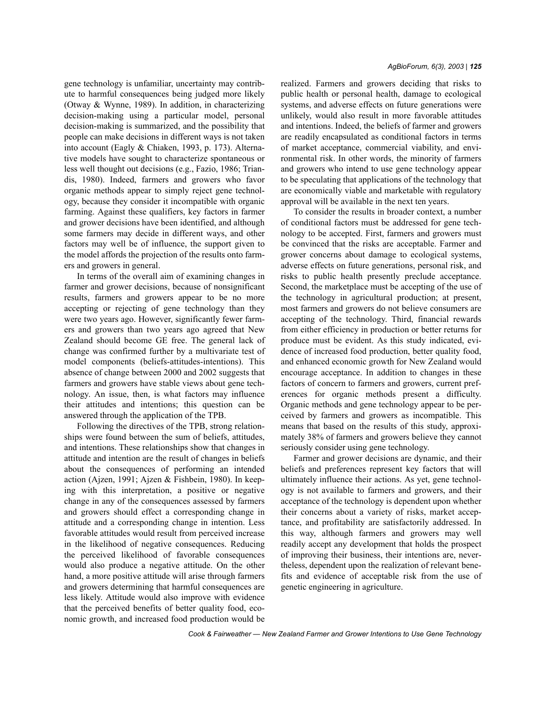gene technology is unfamiliar, uncertainty may contribute to harmful consequences being judged more likely (Otway & Wynne, 1989). In addition, in characterizing decision-making using a particular model, personal decision-making is summarized, and the possibility that people can make decisions in different ways is not taken into account (Eagly & Chiaken, 1993, p. 173). Alternative models have sought to characterize spontaneous or less well thought out decisions (e.g., Fazio, 1986; Triandis, 1980). Indeed, farmers and growers who favor organic methods appear to simply reject gene technology, because they consider it incompatible with organic farming. Against these qualifiers, key factors in farmer and grower decisions have been identified, and although some farmers may decide in different ways, and other factors may well be of influence, the support given to the model affords the projection of the results onto farmers and growers in general.

In terms of the overall aim of examining changes in farmer and grower decisions, because of nonsignificant results, farmers and growers appear to be no more accepting or rejecting of gene technology than they were two years ago. However, significantly fewer farmers and growers than two years ago agreed that New Zealand should become GE free. The general lack of change was confirmed further by a multivariate test of model components (beliefs-attitudes-intentions). This absence of change between 2000 and 2002 suggests that farmers and growers have stable views about gene technology. An issue, then, is what factors may influence their attitudes and intentions; this question can be answered through the application of the TPB.

Following the directives of the TPB, strong relationships were found between the sum of beliefs, attitudes, and intentions. These relationships show that changes in attitude and intention are the result of changes in beliefs about the consequences of performing an intended action (Ajzen, 1991; Ajzen & Fishbein, 1980). In keeping with this interpretation, a positive or negative change in any of the consequences assessed by farmers and growers should effect a corresponding change in attitude and a corresponding change in intention. Less favorable attitudes would result from perceived increase in the likelihood of negative consequences. Reducing the perceived likelihood of favorable consequences would also produce a negative attitude. On the other hand, a more positive attitude will arise through farmers and growers determining that harmful consequences are less likely. Attitude would also improve with evidence that the perceived benefits of better quality food, economic growth, and increased food production would be realized. Farmers and growers deciding that risks to public health or personal health, damage to ecological systems, and adverse effects on future generations were unlikely, would also result in more favorable attitudes and intentions. Indeed, the beliefs of farmer and growers are readily encapsulated as conditional factors in terms of market acceptance, commercial viability, and environmental risk. In other words, the minority of farmers and growers who intend to use gene technology appear to be speculating that applications of the technology that are economically viable and marketable with regulatory approval will be available in the next ten years.

To consider the results in broader context, a number of conditional factors must be addressed for gene technology to be accepted. First, farmers and growers must be convinced that the risks are acceptable. Farmer and grower concerns about damage to ecological systems, adverse effects on future generations, personal risk, and risks to public health presently preclude acceptance. Second, the marketplace must be accepting of the use of the technology in agricultural production; at present, most farmers and growers do not believe consumers are accepting of the technology. Third, financial rewards from either efficiency in production or better returns for produce must be evident. As this study indicated, evidence of increased food production, better quality food, and enhanced economic growth for New Zealand would encourage acceptance. In addition to changes in these factors of concern to farmers and growers, current preferences for organic methods present a difficulty. Organic methods and gene technology appear to be perceived by farmers and growers as incompatible. This means that based on the results of this study, approximately 38% of farmers and growers believe they cannot seriously consider using gene technology.

Farmer and grower decisions are dynamic, and their beliefs and preferences represent key factors that will ultimately influence their actions. As yet, gene technology is not available to farmers and growers, and their acceptance of the technology is dependent upon whether their concerns about a variety of risks, market acceptance, and profitability are satisfactorily addressed. In this way, although farmers and growers may well readily accept any development that holds the prospect of improving their business, their intentions are, nevertheless, dependent upon the realization of relevant benefits and evidence of acceptable risk from the use of genetic engineering in agriculture.

*Cook & Fairweather – New Zealand Farmer and Grower Intentions to Use Gene Technology*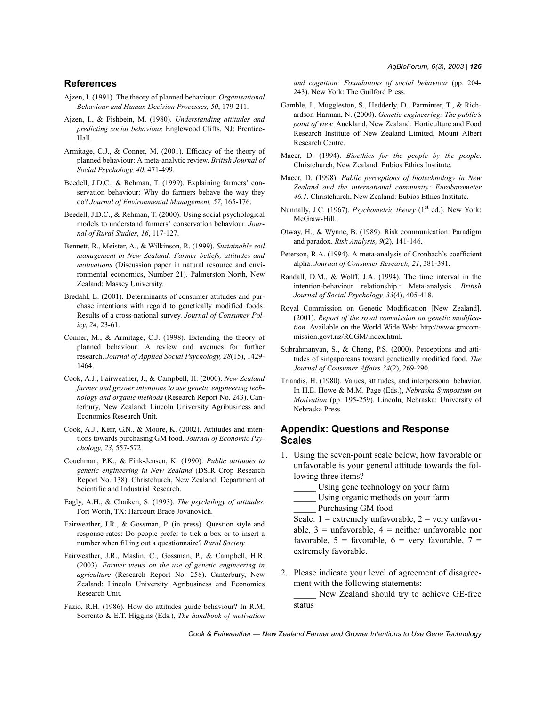# **References**

- Ajzen, I. (1991). The theory of planned behaviour. *Organisational Behaviour and Human Decision Processes, 50*, 179-211.
- Ajzen, I., & Fishbein, M. (1980). *Understanding attitudes and predicting social behaviour.* Englewood Cliffs, NJ: Prentice-Hall.
- Armitage, C.J., & Conner, M. (2001). Efficacy of the theory of planned behaviour: A meta-analytic review. *British Journal of Social Psychology, 40*, 471-499.
- Beedell, J.D.C., & Rehman, T. (1999). Explaining farmers' conservation behaviour: Why do farmers behave the way they do? *Journal of Environmental Management, 57*, 165-176.
- Beedell, J.D.C., & Rehman, T. (2000). Using social psychological models to understand farmers' conservation behaviour. *Journal of Rural Studies, 16*, 117-127.
- Bennett, R., Meister, A., & Wilkinson, R. (1999). *Sustainable soil management in New Zealand: Farmer beliefs, attitudes and motivations* (Discussion paper in natural resource and environmental economics, Number 21). Palmerston North, New Zealand: Massey University.
- Bredahl, L. (2001). Determinants of consumer attitudes and purchase intentions with regard to genetically modified foods: Results of a cross-national survey. *Journal of Consumer Policy*, *24*, 23-61.
- Conner, M., & Armitage, C.J. (1998). Extending the theory of planned behaviour: A review and avenues for further research. *Journal of Applied Social Psychology, 28*(15), 1429- 1464.
- Cook, A.J., Fairweather, J., & Campbell, H. (2000). *New Zealand farmer and grower intentions to use genetic engineering technology and organic methods* (Research Report No. 243). Canterbury, New Zealand: Lincoln University Agribusiness and Economics Research Unit.
- Cook, A.J., Kerr, G.N., & Moore, K. (2002). Attitudes and intentions towards purchasing GM food. *Journal of Economic Psychology, 23*, 557-572.
- Couchman, P.K., & Fink-Jensen, K. (1990). *Public attitudes to genetic engineering in New Zealand* (DSIR Crop Research Report No. 138). Christchurch, New Zealand: Department of Scientific and Industrial Research.
- Eagly, A.H., & Chaiken, S. (1993). *The psychology of attitudes.* Fort Worth, TX: Harcourt Brace Jovanovich.
- Fairweather, J.R., & Gossman, P. (in press). Question style and response rates: Do people prefer to tick a box or to insert a number when filling out a questionnaire? *Rural Society.*
- Fairweather, J.R., Maslin, C., Gossman, P., & Campbell, H.R. (2003). *Farmer views on the use of genetic engineering in agriculture* (Research Report No. 258). Canterbury, New Zealand: Lincoln University Agribusiness and Economics Research Unit.
- Fazio, R.H. (1986). How do attitudes guide behaviour? In R.M. Sorrento & E.T. Higgins (Eds.), *The handbook of motivation*

*and cognition: Foundations of social behaviour* (pp. 204- 243). New York: The Guilford Press.

- Gamble, J., Muggleston, S., Hedderly, D., Parminter, T., & Richardson-Harman, N. (2000). *Genetic engineering: The publicís point of view.* Auckland, New Zealand: Horticulture and Food Research Institute of New Zealand Limited, Mount Albert Research Centre.
- Macer, D. (1994). *Bioethics for the people by the people*. Christchurch, New Zealand: Eubios Ethics Institute.
- Macer, D. (1998). *Public perceptions of biotechnology in New Zealand and the international community: Eurobarometer 46.1.* Christchurch, New Zealand: Eubios Ethics Institute.
- Nunnally, J.C. (1967). *Psychometric theory* (1<sup>st</sup> ed.). New York: McGraw-Hill.
- Otway, H., & Wynne, B. (1989). Risk communication: Paradigm and paradox. *Risk Analysis, 9*(2), 141-146.
- Peterson, R.A. (1994). A meta-analysis of Cronbach's coefficient alpha. *Journal of Consumer Research, 21*, 381-391.
- Randall, D.M., & Wolff, J.A. (1994). The time interval in the intention-behaviour relationship.: Meta-analysis. *British Journal of Social Psychology, 33*(4), 405-418.
- Royal Commission on Genetic Modification [New Zealand]. (2001). *Report of the royal commission on genetic modification.* Available on the World Wide Web: http://www.gmcommission.govt.nz/RCGM/index.html.
- Subrahmanyan, S., & Cheng, P.S. (2000). Perceptions and attitudes of singaporeans toward genetically modified food. *The Journal of Consumer Affairs 34*(2), 269-290.
- Triandis, H. (1980). Values, attitudes, and interpersonal behavior. In H.E. Howe & M.M. Page (Eds.), *Nebraska Symposium on Motivation* (pp. 195-259). Lincoln, Nebraska: University of Nebraska Press.

# **Appendix: Questions and Response Scales**

- 1. Using the seven-point scale below, how favorable or unfavorable is your general attitude towards the following three items?
	- Using gene technology on your farm
	- Using organic methods on your farm

Purchasing GM food

Scale:  $1 =$  extremely unfavorable,  $2 =$  very unfavorable,  $3 =$  unfavorable,  $4 =$  neither unfavorable nor favorable,  $5 =$  favorable,  $6 =$  very favorable,  $7 =$ extremely favorable.

2. Please indicate your level of agreement of disagreement with the following statements:

\_\_\_\_\_ New Zealand should try to achieve GE-free status